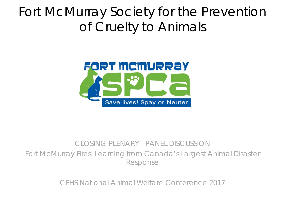### Fort McMurray Society for the Prevention of Cruelty to Animals



#### CLOSING PLENARY - PANEL DISCUSSION Fort McMurray Fires: Learning from Canada's Largest Animal Disaster Response

CFHS National Animal Welfare Conference 2017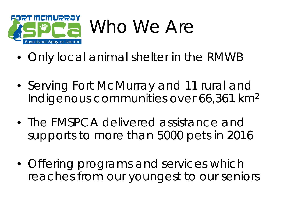

- Only local animal shelter in the RMWB
- Serving Fort McMurray and 11 rural and Indigenous communities over 66,361 km2
- The FMSPCA delivered assistance and supports to more than 5000 pets in 2016
- Offering programs and services which reaches from our youngest to our seniors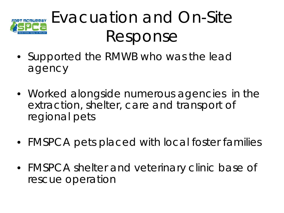

# Evacuation and On-Site Response

- Supported the RMWB who was the lead agency
- Worked alongside numerous agencies in the extraction, shelter, care and transport of regional pets
- FMSPCA pets placed with local foster families
- FMSPCA shelter and veterinary clinic base of rescue operation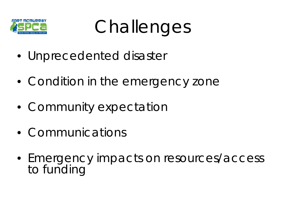

**Challenges** 

- Unprecedented disaster
- Condition in the emergency zone
- Community expectation
- Communications
- Emergency impacts on resources/access to funding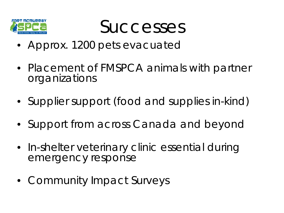

**Successes** 

- Approx. 1200 pets evacuated
- Placement of FMSPCA animals with partner organizations
- Supplier support (food and supplies in-kind)
- Support from across Canada and beyond
- In-shelter veterinary clinic essential during emergency response
- Community Impact Surveys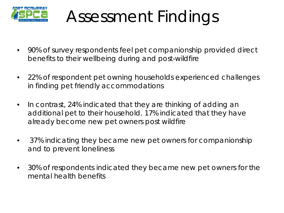

## Assessment Findings

- 90% of survey respondents feel pet companionship provided direct benefits to their wellbeing during and post-wildfire
- 22% of respondent pet owning households experienced challenges in finding pet friendly accommodations
- In contrast, 24% indicated that they are thinking of adding an additional pet to their household. 17% indicated that they have already become new pet owners post wildfire
- 37% indicating they became new pet owners for companionship and to prevent loneliness
- 30% of respondents indicated they became new pet owners for the mental health benefits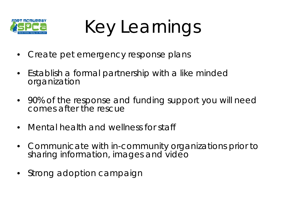

Key Learnings

- Create pet emergency response plans
- Establish a formal partnership with a like minded organization
- 90% of the response and funding support you will need comes after the rescue
- Mental health and wellness for staff
- Communicate with in-community organizations prior to sharing information, images and video
- Strong adoption campaign